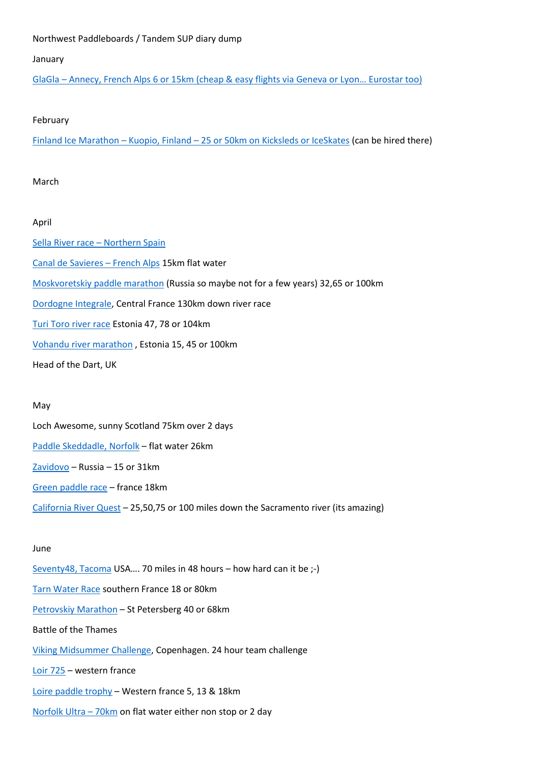# Northwest Paddleboards / Tandem SUP diary dump

# January

GlaGla – Annecy, French Alps 6 or 15km [\(cheap & easy flights via Geneva or Lyon](https://alpinelakestour.com/alpine-lakes-tour-2022/glagla-race-2022/)… Eurostar too)

### February

Finland Ice Marathon – Kuopio, Finland – [25 or 50km on Kicksleds or IceSkates](https://www.finlandicemarathon.com/https-www-finlandicemarathon-com-in/) (can be hired there)

# March

# April

[Sella River race](http://www.upsuping.com/sella-sup-race-2022/) – Northern Spain [Canal de Savieres](https://alpinelakestour.com/alpine-lakes-tour-2022/alpine-lakes-tour-canal-savieres-lac-bourget-2022/) – French Alps 15km flat water [Moskvoretskiy paddle marathon](https://moskvoretsky.ru/) (Russia so maybe not for a few years) 32,65 or 100km [Dordogne Integrale,](https://www.vallee-dordogne.com/agenda/course-extreme-canoe-kayak-dordogne-integrale) Central France 130km down river race [Turi Toro river race](https://www.tyritori.ee/) Estonia 47, 78 or 104km [Vohandu river marathon](https://www.vohandumaraton.ee/) , Estonia 15, 45 or 100km Head of the Dart, UK

# May

Loch Awesome, sunny Scotland 75km over 2 days [Paddle Skeddadle, Norfolk](https://www.norfolkoutdooradventures.co.uk/the-paddle-skedaddle) – flat water 26km [Zavidovo](https://zavidovosupchallenge.com/) – Russia – 15 or 31km [Green paddle race](https://www.canoekayakvertou.com/green-paddle-race) – france 18km California [River Quest](https://www.californiariverquest.com/) – 25,50,75 or 100 miles down the Sacramento river (its amazing)

# June

[Seventy48, Tacoma](https://seventy48.com/) USA…. 70 miles in 48 hours – how hard can it be ;-) [Tarn Water Race](https://www.tarnwaterrace.com/) southern France 18 or 80km [Petrovskiy Marathon](http://www.petrovskiymarathon.ru/en) – St Petersberg 40 or 68km Battle of the Thames [Viking Midsummer Challenge,](https://vikingchallenge.dk/) Copenhagen. 24 hour team challenge [Loir 725](https://www.loire725.com/) – western france Loire [paddle trophy](https://en.loire-paddle-trophy.com/) – Western france 5, 13 & 18km [Norfolk](https://www.norfolkoutdooradventures.co.uk/the-norfolk-broads-ultra-2022) Ultra – 70km on flat water either non stop or 2 day